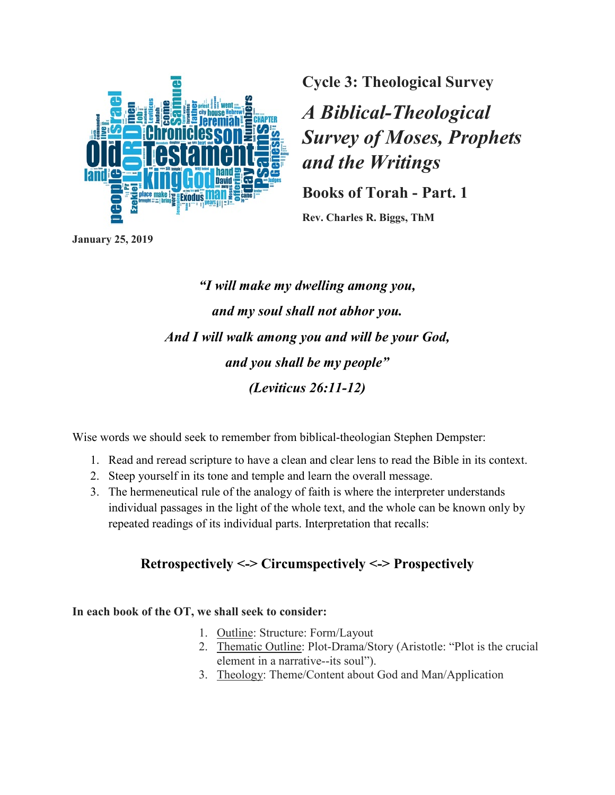

**Cycle 3: Theological Survey**

*A Biblical-Theological Survey of Moses, Prophets and the Writings*

**Books of Torah - Part. 1**

**Rev. Charles R. Biggs, ThM**

**January 25, 2019**

*"I will make my dwelling among you, and my soul shall not abhor you. And I will walk among you and will be your God, and you shall be my people" (Leviticus 26:11-12)*

Wise words we should seek to remember from biblical-theologian Stephen Dempster:

- 1. Read and reread scripture to have a clean and clear lens to read the Bible in its context.
- 2. Steep yourself in its tone and temple and learn the overall message.
- 3. The hermeneutical rule of the analogy of faith is where the interpreter understands individual passages in the light of the whole text, and the whole can be known only by repeated readings of its individual parts. Interpretation that recalls:

# **Retrospectively <-> Circumspectively <-> Prospectively**

### **In each book of the OT, we shall seek to consider:**

- 1. Outline: Structure: Form/Layout
- 2. Thematic Outline: Plot-Drama/Story (Aristotle: "Plot is the crucial element in a narrative--its soul").
- 3. Theology: Theme/Content about God and Man/Application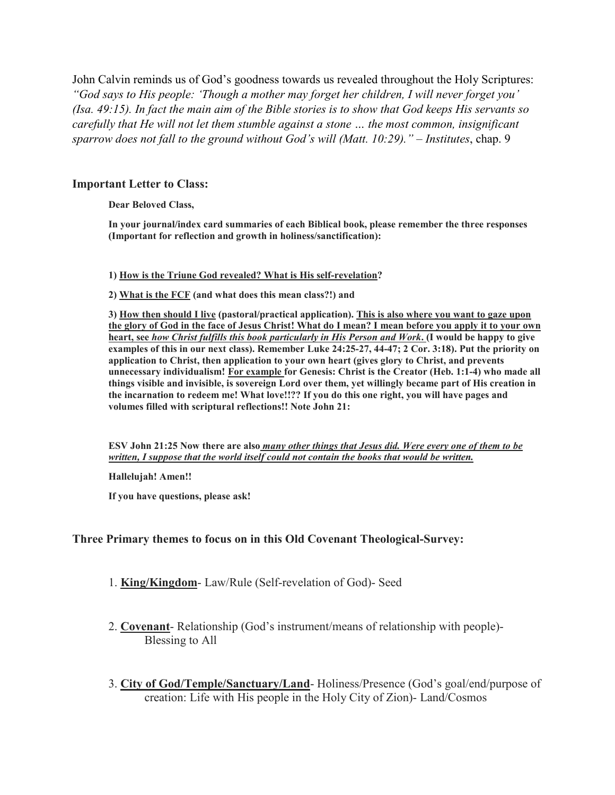John Calvin reminds us of God's goodness towards us revealed throughout the Holy Scriptures: *"God says to His people: 'Though a mother may forget her children, I will never forget you' (Isa. 49:15). In fact the main aim of the Bible stories is to show that God keeps His servants so carefully that He will not let them stumble against a stone … the most common, insignificant sparrow does not fall to the ground without God's will (Matt. 10:29)."* – *Institutes*, chap. 9

#### **Important Letter to Class:**

**Dear Beloved Class,**

**In your journal/index card summaries of each Biblical book, please remember the three responses (Important for reflection and growth in holiness/sanctification):**

**1) How is the Triune God revealed? What is His self-revelation?**

**2) What is the FCF (and what does this mean class?!) and**

**3) How then should I live (pastoral/practical application). This is also where you want to gaze upon the glory of God in the face of Jesus Christ! What do I mean? I mean before you apply it to your own heart, see** *how Christ fulfills this book particularly in His Person and Work***. (I would be happy to give examples of this in our next class). Remember Luke 24:25-27, 44-47; 2 Cor. 3:18). Put the priority on application to Christ, then application to your own heart (gives glory to Christ, and prevents unnecessary individualism! For example for Genesis: Christ is the Creator (Heb. 1:1-4) who made all things visible and invisible, is sovereign Lord over them, yet willingly became part of His creation in the incarnation to redeem me! What love!!?? If you do this one right, you will have pages and volumes filled with scriptural reflections!! Note John 21:**

**ESV John 21:25 Now there are also** *many other things that Jesus did. Were every one of them to be written, I suppose that the world itself could not contain the books that would be written.*

**Hallelujah! Amen!!**

**If you have questions, please ask!**

#### **Three Primary themes to focus on in this Old Covenant Theological-Survey:**

- 1. **King/Kingdom** Law/Rule (Self-revelation of God)- Seed
- 2. **Covenant** Relationship (God's instrument/means of relationship with people)- Blessing to All
- 3. **City of God/Temple/Sanctuary/Land** Holiness/Presence (God's goal/end/purpose of creation: Life with His people in the Holy City of Zion)- Land/Cosmos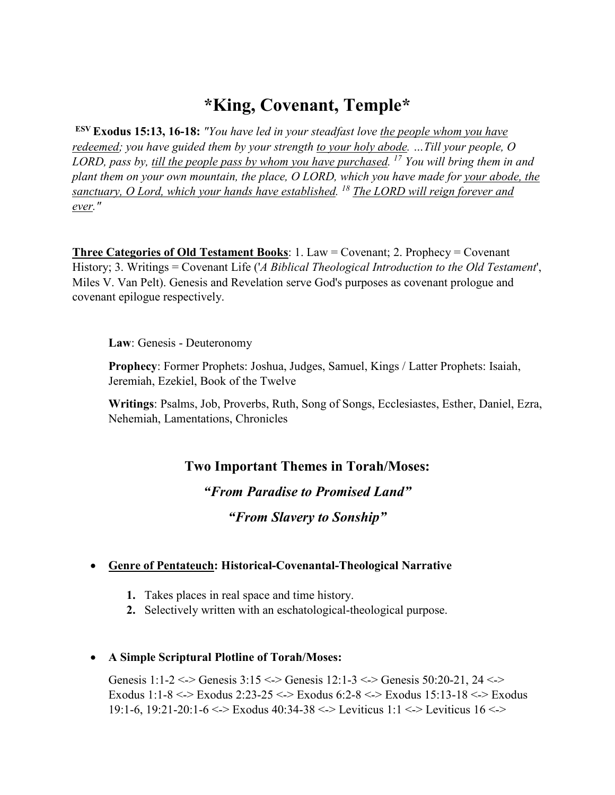# **\*King, Covenant, Temple\***

**ESV Exodus 15:13, 16-18:** *"You have led in your steadfast love the people whom you have redeemed; you have guided them by your strength to your holy abode. …Till your people, O LORD, pass by, till the people pass by whom you have purchased. 17 You will bring them in and plant them on your own mountain, the place, O LORD, which you have made for your abode, the sanctuary, O Lord, which your hands have established. 18 The LORD will reign forever and ever."*

**Three Categories of Old Testament Books**: 1. Law = Covenant; 2. Prophecy = Covenant History; 3. Writings = Covenant Life ('*A Biblical Theological Introduction to the Old Testament*', Miles V. Van Pelt). Genesis and Revelation serve God's purposes as covenant prologue and covenant epilogue respectively.

**Law**: Genesis - Deuteronomy

**Prophecy**: Former Prophets: Joshua, Judges, Samuel, Kings / Latter Prophets: Isaiah, Jeremiah, Ezekiel, Book of the Twelve

**Writings**: Psalms, Job, Proverbs, Ruth, Song of Songs, Ecclesiastes, Esther, Daniel, Ezra, Nehemiah, Lamentations, Chronicles

# **Two Important Themes in Torah/Moses:**

*"From Paradise to Promised Land" "From Slavery to Sonship"*

### • **Genre of Pentateuch: Historical-Covenantal-Theological Narrative**

- **1.** Takes places in real space and time history.
- **2.** Selectively written with an eschatological-theological purpose.

### • **A Simple Scriptural Plotline of Torah/Moses:**

Genesis 1:1-2 <-> Genesis 3:15 <-> Genesis 12:1-3 <-> Genesis 50:20-21, 24 <-> Exodus 1:1-8 <-> Exodus 2:23-25 <-> Exodus 6:2-8 <-> Exodus 15:13-18 <-> Exodus 19:1-6, 19:21-20:1-6 <-> Exodus 40:34-38 <-> Leviticus 1:1 <-> Leviticus 16 <->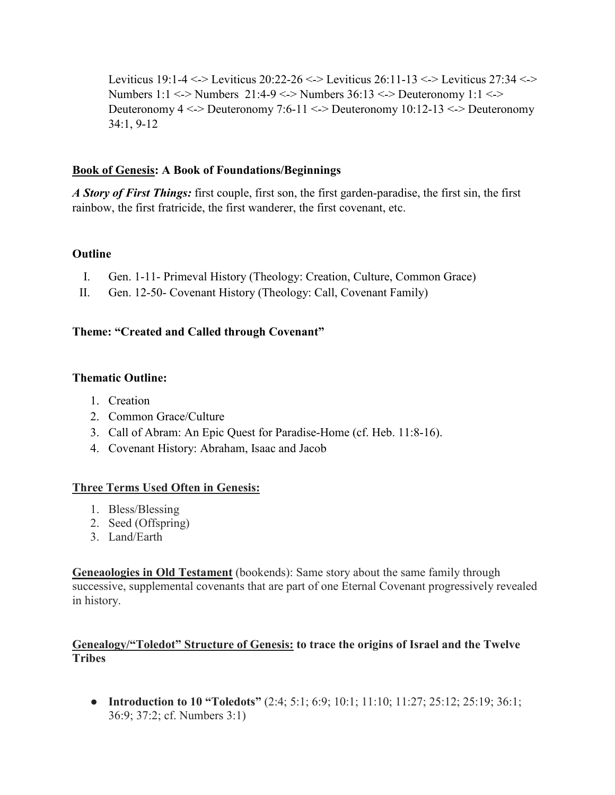Leviticus 19:1-4 <-> Leviticus 20:22-26 <-> Leviticus 26:11-13 <-> Leviticus 27:34 <-> Numbers 1:1 <-> Numbers 21:4-9 <-> Numbers 36:13 <-> Deuteronomy 1:1 <-> Deuteronomy 4 <-> Deuteronomy 7:6-11 <-> Deuteronomy 10:12-13 <-> Deuteronomy 34:1, 9-12

### **Book of Genesis: A Book of Foundations/Beginnings**

*A Story of First Things:* first couple, first son, the first garden-paradise, the first sin, the first rainbow, the first fratricide, the first wanderer, the first covenant, etc.

### **Outline**

- I. Gen. 1-11- Primeval History (Theology: Creation, Culture, Common Grace)
- II. Gen. 12-50- Covenant History (Theology: Call, Covenant Family)

### **Theme: "Created and Called through Covenant"**

### **Thematic Outline:**

- 1. Creation
- 2. Common Grace/Culture
- 3. Call of Abram: An Epic Quest for Paradise-Home (cf. Heb. 11:8-16).
- 4. Covenant History: Abraham, Isaac and Jacob

### **Three Terms Used Often in Genesis:**

- 1. Bless/Blessing
- 2. Seed (Offspring)
- 3. Land/Earth

**Geneaologies in Old Testament** (bookends): Same story about the same family through successive, supplemental covenants that are part of one Eternal Covenant progressively revealed in history.

## **Genealogy/"Toledot" Structure of Genesis: to trace the origins of Israel and the Twelve Tribes**

● **Introduction to 10 "Toledots"** (2:4; 5:1; 6:9; 10:1; 11:10; 11:27; 25:12; 25:19; 36:1; 36:9; 37:2; cf. Numbers 3:1)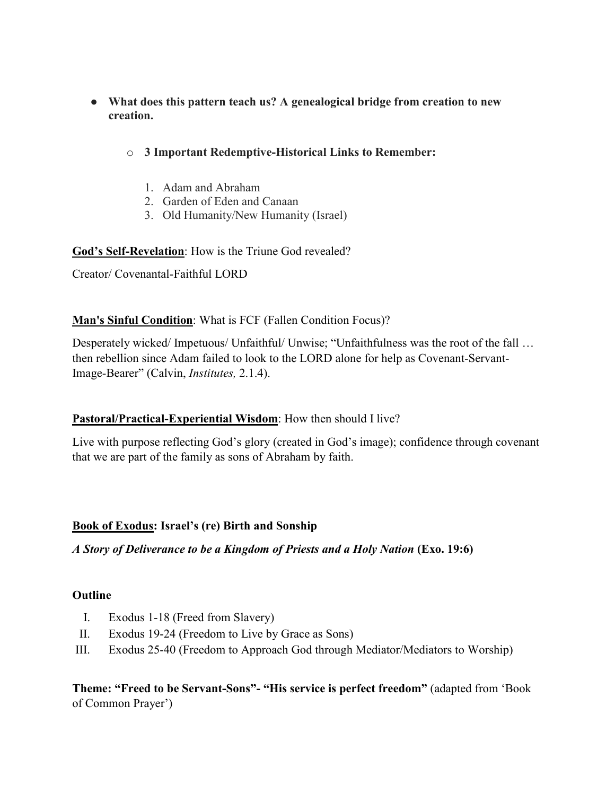- **What does this pattern teach us? A genealogical bridge from creation to new creation.**
	- o **3 Important Redemptive-Historical Links to Remember:**
		- 1. Adam and Abraham
		- 2. Garden of Eden and Canaan
		- 3. Old Humanity/New Humanity (Israel)

### **God's Self-Revelation**: How is the Triune God revealed?

Creator/ Covenantal-Faithful LORD

## **Man's Sinful Condition**: What is FCF (Fallen Condition Focus)?

Desperately wicked/ Impetuous/ Unfaithful/ Unwise; "Unfaithfulness was the root of the fall ... then rebellion since Adam failed to look to the LORD alone for help as Covenant-Servant-Image-Bearer" (Calvin, *Institutes,* 2.1.4).

### **Pastoral/Practical-Experiential Wisdom**: How then should I live?

Live with purpose reflecting God's glory (created in God's image); confidence through covenant that we are part of the family as sons of Abraham by faith.

### **Book of Exodus: Israel's (re) Birth and Sonship**

*A Story of Deliverance to be a Kingdom of Priests and a Holy Nation* **(Exo. 19:6)**

### **Outline**

- I. Exodus 1-18 (Freed from Slavery)
- II. Exodus 19-24 (Freedom to Live by Grace as Sons)
- III. Exodus 25-40 (Freedom to Approach God through Mediator/Mediators to Worship)

**Theme: "Freed to be Servant-Sons"- "His service is perfect freedom"** (adapted from 'Book of Common Prayer')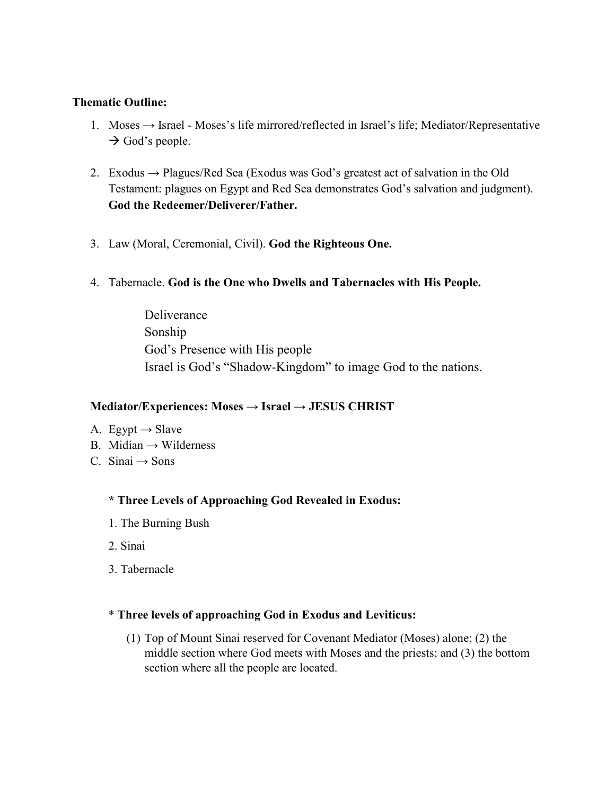#### **Thematic Outline:**

- 1. Moses  $\rightarrow$  Israel Moses's life mirrored/reflected in Israel's life; Mediator/Representative  $\rightarrow$  God's people.
- 2. Exodus  $\rightarrow$  Plagues/Red Sea (Exodus was God's greatest act of salvation in the Old Testament: plagues on Egypt and Red Sea demonstrates God's salvation and judgment). **God the Redeemer/Deliverer/Father.**
- 3. Law (Moral, Ceremonial, Civil). **God the Righteous One.**
- 4. Tabernacle. **God is the One who Dwells and Tabernacles with His People.**

Deliverance Sonship God's Presence with His people Israel is God's "Shadow-Kingdom" to image God to the nations.

### **Mediator/Experiences: Moses → Israel → JESUS CHRIST**

- A. Egypt  $\rightarrow$  Slave
- B. Midian  $\rightarrow$  Wilderness
- C. Sinai  $\rightarrow$  Sons

### **\* Three Levels of Approaching God Revealed in Exodus:**

- 1. The Burning Bush
- 2. Sinai
- 3. Tabernacle

### \* **Three levels of approaching God in Exodus and Leviticus:**

(1) Top of Mount Sinai reserved for Covenant Mediator (Moses) alone; (2) the middle section where God meets with Moses and the priests; and (3) the bottom section where all the people are located.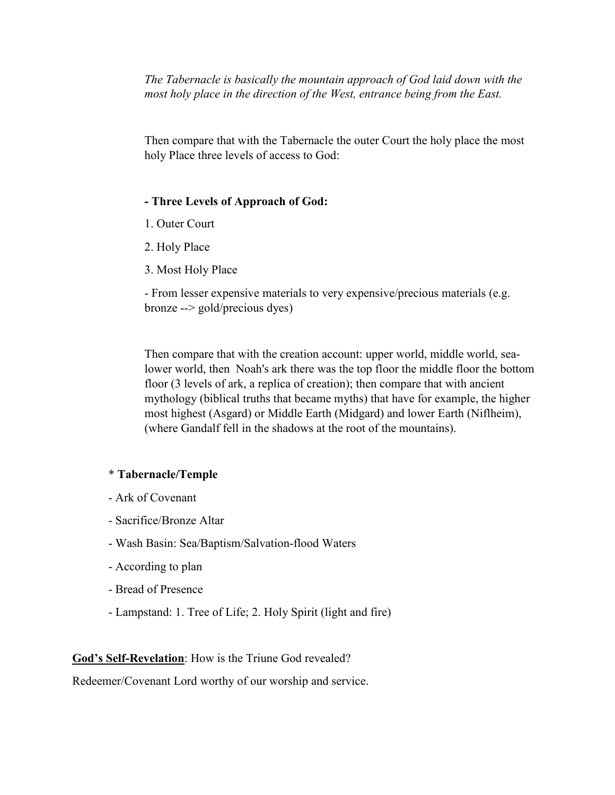*The Tabernacle is basically the mountain approach of God laid down with the most holy place in the direction of the West, entrance being from the East.*

Then compare that with the Tabernacle the outer Court the holy place the most holy Place three levels of access to God:

#### **- Three Levels of Approach of God:**

- 1. Outer Court
- 2. Holy Place
- 3. Most Holy Place

- From lesser expensive materials to very expensive/precious materials (e.g. bronze --> gold/precious dyes)

Then compare that with the creation account: upper world, middle world, sealower world, then Noah's ark there was the top floor the middle floor the bottom floor (3 levels of ark, a replica of creation); then compare that with ancient mythology (biblical truths that became myths) that have for example, the higher most highest (Asgard) or Middle Earth (Midgard) and lower Earth (Niflheim), (where Gandalf fell in the shadows at the root of the mountains).

#### \* **Tabernacle/Temple**

- Ark of Covenant
- Sacrifice/Bronze Altar
- Wash Basin: Sea/Baptism/Salvation-flood Waters
- According to plan
- Bread of Presence
- Lampstand: 1. Tree of Life; 2. Holy Spirit (light and fire)

#### **God's Self-Revelation**: How is the Triune God revealed?

Redeemer/Covenant Lord worthy of our worship and service.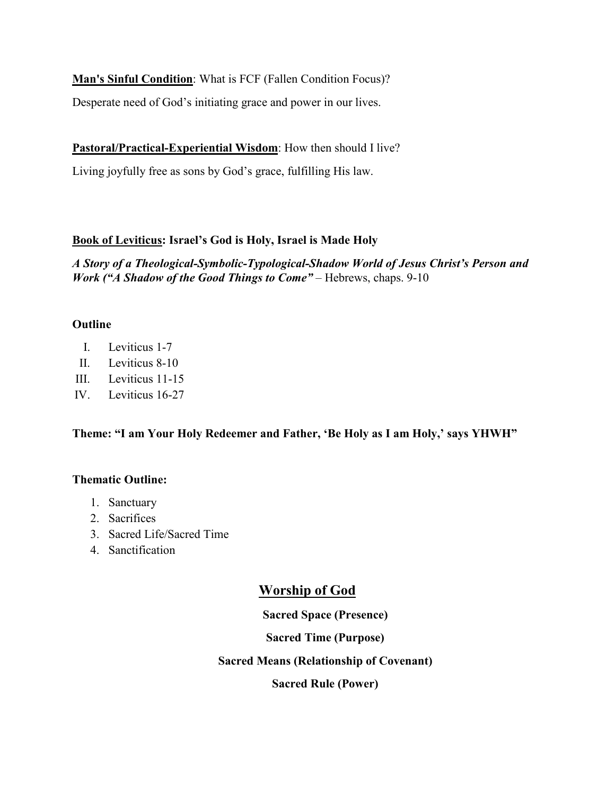**Man's Sinful Condition**: What is FCF (Fallen Condition Focus)?

Desperate need of God's initiating grace and power in our lives.

# **Pastoral/Practical-Experiential Wisdom**: How then should I live?

Living joyfully free as sons by God's grace, fulfilling His law.

# **Book of Leviticus: Israel's God is Holy, Israel is Made Holy**

*A Story of a Theological-Symbolic-Typological-Shadow World of Jesus Christ's Person and Work* ("A Shadow of the Good Things to Come" – Hebrews, chaps. 9-10

## **Outline**

- I. Leviticus 1-7
- II. Leviticus 8-10
- III. Leviticus 11-15
- IV. Leviticus 16-27

# **Theme: "I am Your Holy Redeemer and Father, 'Be Holy as I am Holy,' says YHWH"**

### **Thematic Outline:**

- 1. Sanctuary
- 2. Sacrifices
- 3. Sacred Life/Sacred Time
- 4. Sanctification

# **Worship of God**

**Sacred Space (Presence)**

**Sacred Time (Purpose)**

**Sacred Means (Relationship of Covenant)**

**Sacred Rule (Power)**